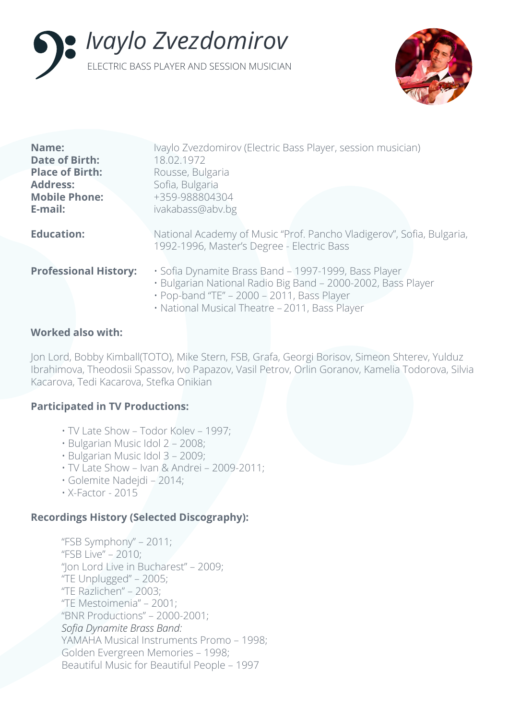



| Name:<br><b>Date of Birth:</b><br><b>Place of Birth:</b><br><b>Address:</b><br><b>Mobile Phone:</b><br>E-mail: | Ivaylo Zvezdomirov (Electric Bass Player, session musician)<br>18.02.1972<br>Rousse, Bulgaria<br>Sofia, Bulgaria<br>+359-988804304<br>ivakabass@abv.bg             |
|----------------------------------------------------------------------------------------------------------------|--------------------------------------------------------------------------------------------------------------------------------------------------------------------|
| <b>Education:</b>                                                                                              | National Academy of Music "Prof. Pancho Vladigerov", Sofia, Bulgaria,<br>1992-1996, Master's Degree - Electric Bass                                                |
| <b>Professional History:</b>                                                                                   | · Sofia Dynamite Brass Band - 1997-1999, Bass Player<br>· Bulgarian National Radio Big Band - 2000-2002, Bass Player<br>· Pop-band "TE" - 2000 - 2011, Bass Player |

• National Musical Theatre – 2011, Bass Player

### **Worked also with:**

Jon Lord, Bobby Kimball(TOTO), Mike Stern, FSB, Grafa, Georgi Borisov, Simeon Shterev, Yulduz Ibrahimova, Theodosii Spassov, Ivo Papazov, Vasil Petrov, Orlin Goranov, Kamelia Todorova, Silvia Kacarova, Tedi Kacarova, Stefka Onikian

## **Participated in TV Productions:**

- TV Late Show Todor Kolev 1997;
- Bulgarian Music Idol 2 2008;
- Bulgarian Music Idol 3 2009;
- TV Late Show Ivan & Andrei 2009-2011;
- Golemite Nadejdi 2014;
- X-Factor 2015

## **Recordings History (Selected Discography):**

```
"FSB Symphony" – 2011;
"FSB Live" – 2010;
"Jon Lord Live in Bucharest" – 2009;
"TE Unplugged" – 2005;
"TE Razlichen" – 2003;
"TE Mestoimenia" – 2001;
"BNR Productions" – 2000-2001;
Sofia Dynamite Brass Band: 
YAMAHA Musical Instruments Promo – 1998;
Golden Evergreen Memories – 1998;
Beautiful Music for Beautiful People – 1997
```